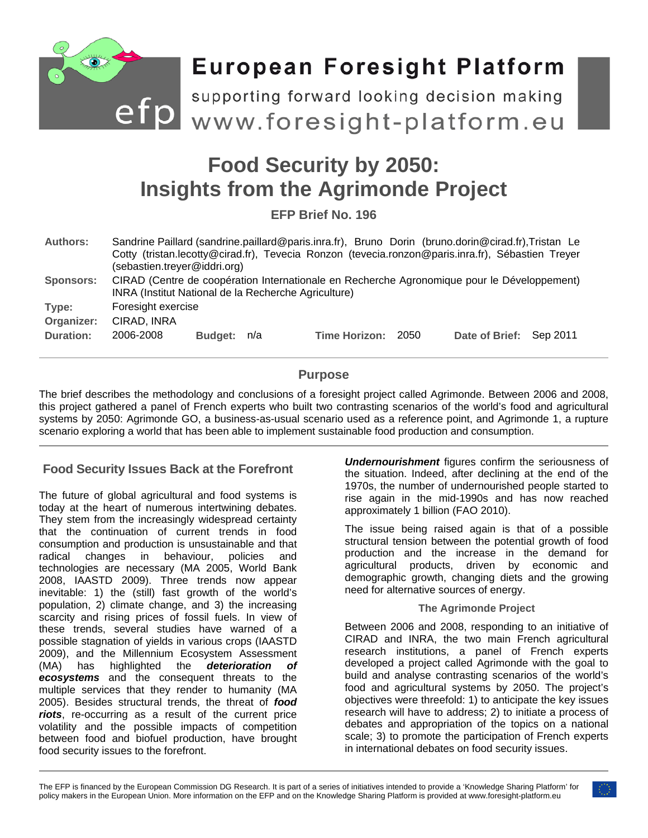

# **Food Security by 2050: Insights from the Agrimonde Project**

**EFP Brief No. 196**

| <b>Authors:</b>  | Sandrine Paillard (sandrine.paillard@paris.inra.fr), Bruno Dorin (bruno.dorin@cirad.fr),Tristan Le<br>Cotty (tristan.lecotty@cirad.fr), Tevecia Ronzon (tevecia.ronzon@paris.inra.fr), Sébastien Treyer<br>(sebastien.treyer@iddri.org) |             |  |                      |      |                         |  |
|------------------|-----------------------------------------------------------------------------------------------------------------------------------------------------------------------------------------------------------------------------------------|-------------|--|----------------------|------|-------------------------|--|
| <b>Sponsors:</b> | CIRAD (Centre de coopération Internationale en Recherche Agronomique pour le Développement)<br>INRA (Institut National de la Recherche Agriculture)                                                                                     |             |  |                      |      |                         |  |
| Type:            | Foresight exercise                                                                                                                                                                                                                      |             |  |                      |      |                         |  |
| Organizer:       | CIRAD, INRA                                                                                                                                                                                                                             |             |  |                      |      |                         |  |
| Duration:        | 2006-2008                                                                                                                                                                                                                               | Budget: n/a |  | <b>Time Horizon:</b> | 2050 | Date of Brief: Sep 2011 |  |

## **Purpose**

The brief describes the methodology and conclusions of a foresight project called Agrimonde. Between 2006 and 2008, this project gathered a panel of French experts who built two contrasting scenarios of the world's food and agricultural systems by 2050: Agrimonde GO, a business-as-usual scenario used as a reference point, and Agrimonde 1, a rupture scenario exploring a world that has been able to implement sustainable food production and consumption.

### **Food Security Issues Back at the Forefront**

The future of global agricultural and food systems is today at the heart of numerous intertwining debates. They stem from the increasingly widespread certainty that the continuation of current trends in food consumption and production is unsustainable and that radical changes in behaviour, policies and technologies are necessary (MA 2005, World Bank 2008, IAASTD 2009). Three trends now appear inevitable: 1) the (still) fast growth of the world's population, 2) climate change, and 3) the increasing scarcity and rising prices of fossil fuels. In view of these trends, several studies have warned of a possible stagnation of yields in various crops (IAASTD 2009), and the Millennium Ecosystem Assessment (MA) has highlighted the *deterioration of ecosystems* and the consequent threats to the multiple services that they render to humanity (MA 2005). Besides structural trends, the threat of *food riots*, re-occurring as a result of the current price volatility and the possible impacts of competition between food and biofuel production, have brought food security issues to the forefront.

*Undernourishment* figures confirm the seriousness of the situation. Indeed, after declining at the end of the 1970s, the number of undernourished people started to rise again in the mid-1990s and has now reached approximately 1 billion (FAO 2010).

The issue being raised again is that of a possible structural tension between the potential growth of food production and the increase in the demand for agricultural products, driven by economic and demographic growth, changing diets and the growing need for alternative sources of energy.

#### **The Agrimonde Project**

Between 2006 and 2008, responding to an initiative of CIRAD and INRA, the two main French agricultural research institutions, a panel of French experts developed a project called Agrimonde with the goal to build and analyse contrasting scenarios of the world's food and agricultural systems by 2050. The project's objectives were threefold: 1) to anticipate the key issues research will have to address; 2) to initiate a process of debates and appropriation of the topics on a national scale; 3) to promote the participation of French experts in international debates on food security issues.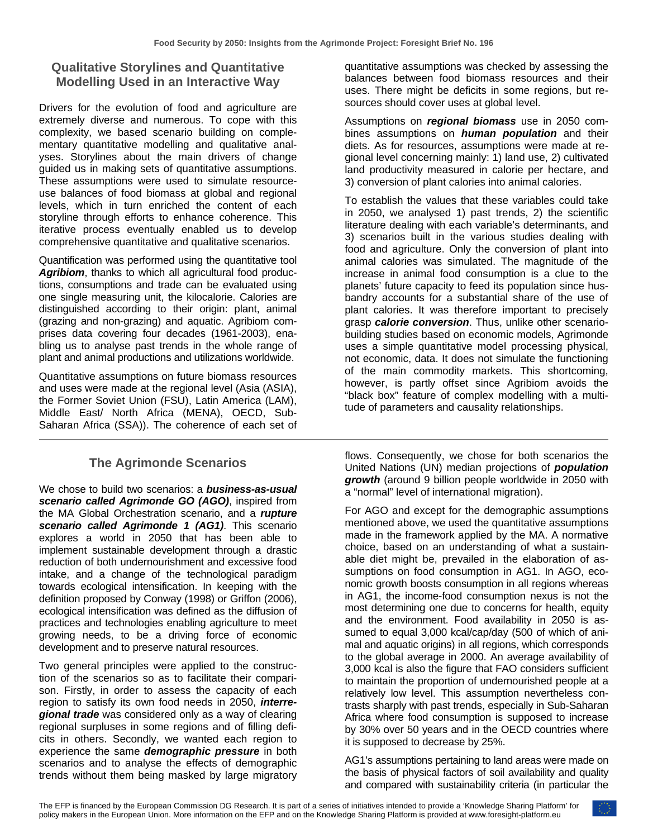# **Qualitative Storylines and Quantitative Modelling Used in an Interactive Way**

Drivers for the evolution of food and agriculture are extremely diverse and numerous. To cope with this complexity, we based scenario building on complementary quantitative modelling and qualitative analyses. Storylines about the main drivers of change guided us in making sets of quantitative assumptions. These assumptions were used to simulate resourceuse balances of food biomass at global and regional levels, which in turn enriched the content of each storyline through efforts to enhance coherence. This iterative process eventually enabled us to develop comprehensive quantitative and qualitative scenarios.

Quantification was performed using the quantitative tool *Agribiom*, thanks to which all agricultural food productions, consumptions and trade can be evaluated using one single measuring unit, the kilocalorie. Calories are distinguished according to their origin: plant, animal (grazing and non-grazing) and aquatic. Agribiom comprises data covering four decades (1961-2003), enabling us to analyse past trends in the whole range of plant and animal productions and utilizations worldwide.

Quantitative assumptions on future biomass resources and uses were made at the regional level (Asia (ASIA), the Former Soviet Union (FSU), Latin America (LAM), Middle East/ North Africa (MENA), OECD, Sub-Saharan Africa (SSA)). The coherence of each set of

# **The Agrimonde Scenarios**

We chose to build two scenarios: a *business-as-usual scenario called Agrimonde GO (AGO)*, inspired from the MA Global Orchestration scenario, and a *rupture scenario called Agrimonde 1 (AG1)*. This scenario explores a world in 2050 that has been able to implement sustainable development through a drastic reduction of both undernourishment and excessive food intake, and a change of the technological paradigm towards ecological intensification. In keeping with the definition proposed by Conway (1998) or Griffon (2006), ecological intensification was defined as the diffusion of practices and technologies enabling agriculture to meet growing needs, to be a driving force of economic development and to preserve natural resources.

Two general principles were applied to the construction of the scenarios so as to facilitate their comparison. Firstly, in order to assess the capacity of each region to satisfy its own food needs in 2050, *interregional trade* was considered only as a way of clearing regional surpluses in some regions and of filling deficits in others. Secondly, we wanted each region to experience the same *demographic pressure* in both scenarios and to analyse the effects of demographic trends without them being masked by large migratory quantitative assumptions was checked by assessing the balances between food biomass resources and their uses. There might be deficits in some regions, but resources should cover uses at global level.

Assumptions on *regional biomass* use in 2050 combines assumptions on *human population* and their diets. As for resources, assumptions were made at regional level concerning mainly: 1) land use, 2) cultivated land productivity measured in calorie per hectare, and 3) conversion of plant calories into animal calories.

To establish the values that these variables could take in 2050, we analysed 1) past trends, 2) the scientific literature dealing with each variable's determinants, and 3) scenarios built in the various studies dealing with food and agriculture. Only the conversion of plant into animal calories was simulated. The magnitude of the increase in animal food consumption is a clue to the planets' future capacity to feed its population since husbandry accounts for a substantial share of the use of plant calories. It was therefore important to precisely grasp *calorie conversion*. Thus, unlike other scenariobuilding studies based on economic models, Agrimonde uses a simple quantitative model processing physical, not economic, data. It does not simulate the functioning of the main commodity markets. This shortcoming, however, is partly offset since Agribiom avoids the "black box" feature of complex modelling with a multitude of parameters and causality relationships.

flows. Consequently, we chose for both scenarios the United Nations (UN) median projections of *population growth* (around 9 billion people worldwide in 2050 with a "normal" level of international migration).

For AGO and except for the demographic assumptions mentioned above, we used the quantitative assumptions made in the framework applied by the MA. A normative choice, based on an understanding of what a sustainable diet might be, prevailed in the elaboration of assumptions on food consumption in AG1. In AGO, economic growth boosts consumption in all regions whereas in AG1, the income-food consumption nexus is not the most determining one due to concerns for health, equity and the environment. Food availability in 2050 is assumed to equal 3,000 kcal/cap/day (500 of which of animal and aquatic origins) in all regions, which corresponds to the global average in 2000. An average availability of 3,000 kcal is also the figure that FAO considers sufficient to maintain the proportion of undernourished people at a relatively low level. This assumption nevertheless contrasts sharply with past trends, especially in Sub-Saharan Africa where food consumption is supposed to increase by 30% over 50 years and in the OECD countries where it is supposed to decrease by 25%.

AG1's assumptions pertaining to land areas were made on the basis of physical factors of soil availability and quality and compared with sustainability criteria (in particular the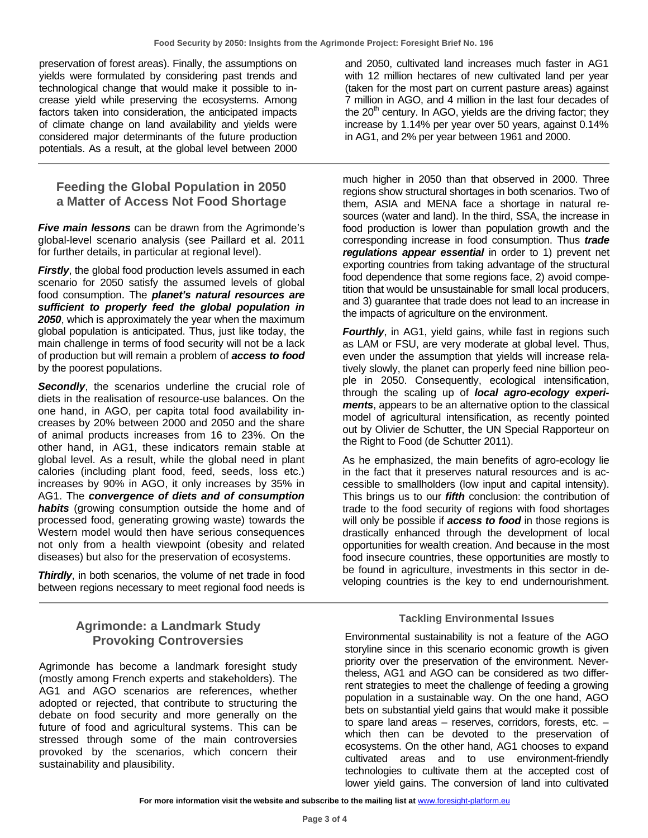preservation of forest areas). Finally, the assumptions on yields were formulated by considering past trends and technological change that would make it possible to increase yield while preserving the ecosystems. Among factors taken into consideration, the anticipated impacts of climate change on land availability and yields were considered major determinants of the future production potentials. As a result, at the global level between 2000

## **Feeding the Global Population in 2050 a Matter of Access Not Food Shortage**

*Five main lessons* can be drawn from the Agrimonde's global-level scenario analysis (see Paillard et al. 2011 for further details, in particular at regional level).

**Firstly**, the global food production levels assumed in each scenario for 2050 satisfy the assumed levels of global food consumption. The *planet's natural resources are sufficient to properly feed the global population in 2050*, which is approximately the year when the maximum global population is anticipated. Thus, just like today, the main challenge in terms of food security will not be a lack of production but will remain a problem of *access to food* by the poorest populations.

**Secondly**, the scenarios underline the crucial role of diets in the realisation of resource-use balances. On the one hand, in AGO, per capita total food availability increases by 20% between 2000 and 2050 and the share of animal products increases from 16 to 23%. On the other hand, in AG1, these indicators remain stable at global level. As a result, while the global need in plant calories (including plant food, feed, seeds, loss etc.) increases by 90% in AGO, it only increases by 35% in AG1. The *convergence of diets and of consumption*  **habits** (growing consumption outside the home and of processed food, generating growing waste) towards the Western model would then have serious consequences not only from a health viewpoint (obesity and related diseases) but also for the preservation of ecosystems.

*Thirdly*, in both scenarios, the volume of net trade in food between regions necessary to meet regional food needs is

## **Agrimonde: a Landmark Study Provoking Controversies**

Agrimonde has become a landmark foresight study (mostly among French experts and stakeholders). The AG1 and AGO scenarios are references, whether adopted or rejected, that contribute to structuring the debate on food security and more generally on the future of food and agricultural systems. This can be stressed through some of the main controversies provoked by the scenarios, which concern their sustainability and plausibility.

and 2050, cultivated land increases much faster in AG1 with 12 million hectares of new cultivated land per year (taken for the most part on current pasture areas) against 7 million in AGO, and 4 million in the last four decades of the  $20<sup>th</sup>$  century. In AGO, yields are the driving factor; they increase by 1.14% per year over 50 years, against 0.14% in AG1, and 2% per year between 1961 and 2000.

much higher in 2050 than that observed in 2000. Three regions show structural shortages in both scenarios. Two of them, ASIA and MENA face a shortage in natural resources (water and land). In the third, SSA, the increase in food production is lower than population growth and the corresponding increase in food consumption. Thus *trade regulations appear essential* in order to 1) prevent net exporting countries from taking advantage of the structural food dependence that some regions face, 2) avoid competition that would be unsustainable for small local producers, and 3) guarantee that trade does not lead to an increase in the impacts of agriculture on the environment.

*Fourthly*, in AG1, yield gains, while fast in regions such as LAM or FSU, are very moderate at global level. Thus, even under the assumption that yields will increase relatively slowly, the planet can properly feed nine billion people in 2050. Consequently, ecological intensification, through the scaling up of *local agro-ecology experiments*, appears to be an alternative option to the classical model of agricultural intensification, as recently pointed out by Olivier de Schutter, the UN Special Rapporteur on the Right to Food (de Schutter 2011).

As he emphasized, the main benefits of agro-ecology lie in the fact that it preserves natural resources and is accessible to smallholders (low input and capital intensity). This brings us to our *fifth* conclusion: the contribution of trade to the food security of regions with food shortages will only be possible if *access to food* in those regions is drastically enhanced through the development of local opportunities for wealth creation. And because in the most food insecure countries, these opportunities are mostly to be found in agriculture, investments in this sector in developing countries is the key to end undernourishment.

#### **Tackling Environmental Issues**

Environmental sustainability is not a feature of the AGO storyline since in this scenario economic growth is given priority over the preservation of the environment. Nevertheless, AG1 and AGO can be considered as two differrent strategies to meet the challenge of feeding a growing population in a sustainable way. On the one hand, AGO bets on substantial yield gains that would make it possible to spare land areas – reserves, corridors, forests, etc. – which then can be devoted to the preservation of ecosystems. On the other hand, AG1 chooses to expand cultivated areas and to use environment-friendly technologies to cultivate them at the accepted cost of lower yield gains. The conversion of land into cultivated

For more information visit the website and subscribe to the mailing list at **[www.foresight-platform.eu](http://www.foresight-platform.eu/)**